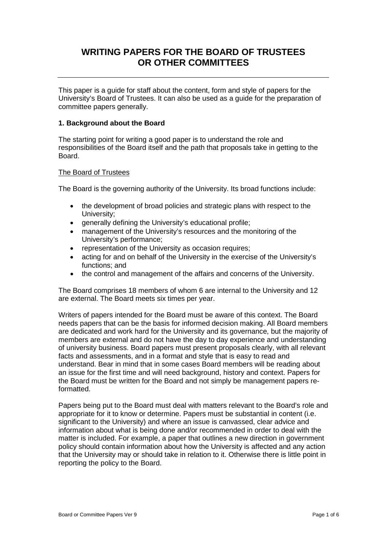# **WRITING PAPERS FOR THE BOARD OF TRUSTEES OR OTHER COMMITTEES**

This paper is a guide for staff about the content, form and style of papers for the University's Board of Trustees. It can also be used as a guide for the preparation of committee papers generally.

# **1. Background about the Board**

The starting point for writing a good paper is to understand the role and responsibilities of the Board itself and the path that proposals take in getting to the Board.

#### The Board of Trustees

The Board is the governing authority of the University. Its broad functions include:

- the development of broad policies and strategic plans with respect to the University;
- generally defining the University's educational profile;
- management of the University's resources and the monitoring of the University's performance;
- representation of the University as occasion requires;
- acting for and on behalf of the University in the exercise of the University's functions; and
- the control and management of the affairs and concerns of the University.

The Board comprises 18 members of whom 6 are internal to the University and 12 are external. The Board meets six times per year.

Writers of papers intended for the Board must be aware of this context. The Board needs papers that can be the basis for informed decision making. All Board members are dedicated and work hard for the University and its governance, but the majority of members are external and do not have the day to day experience and understanding of university business. Board papers must present proposals clearly, with all relevant facts and assessments, and in a format and style that is easy to read and understand. Bear in mind that in some cases Board members will be reading about an issue for the first time and will need background, history and context. Papers for the Board must be written for the Board and not simply be management papers reformatted.

Papers being put to the Board must deal with matters relevant to the Board's role and appropriate for it to know or determine. Papers must be substantial in content (i.e. significant to the University) and where an issue is canvassed, clear advice and information about what is being done and/or recommended in order to deal with the matter is included. For example, a paper that outlines a new direction in government policy should contain information about how the University is affected and any action that the University may or should take in relation to it. Otherwise there is little point in reporting the policy to the Board.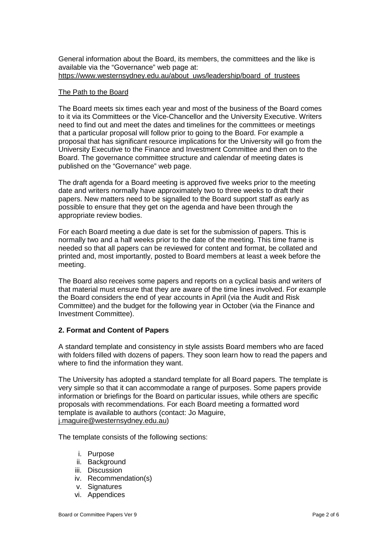General information about the Board, its members, the committees and the like is available via the "Governance" web page at: [https://www.westernsydney.edu.au/about\\_uws/leadership/board\\_of\\_trustees](https://www.westernsydney.edu.au/about_uws/leadership/board_of_trustees)

#### The Path to the Board

The Board meets six times each year and most of the business of the Board comes to it via its Committees or the Vice-Chancellor and the University Executive. Writers need to find out and meet the dates and timelines for the committees or meetings that a particular proposal will follow prior to going to the Board. For example a proposal that has significant resource implications for the University will go from the University Executive to the Finance and Investment Committee and then on to the Board. The governance committee structure and calendar of meeting dates is published on the "Governance" web page.

The draft agenda for a Board meeting is approved five weeks prior to the meeting date and writers normally have approximately two to three weeks to draft their papers. New matters need to be signalled to the Board support staff as early as possible to ensure that they get on the agenda and have been through the appropriate review bodies.

For each Board meeting a due date is set for the submission of papers. This is normally two and a half weeks prior to the date of the meeting. This time frame is needed so that all papers can be reviewed for content and format, be collated and printed and, most importantly, posted to Board members at least a week before the meeting.

The Board also receives some papers and reports on a cyclical basis and writers of that material must ensure that they are aware of the time lines involved. For example the Board considers the end of year accounts in April (via the Audit and Risk Committee) and the budget for the following year in October (via the Finance and Investment Committee).

#### **2. Format and Content of Papers**

A standard template and consistency in style assists Board members who are faced with folders filled with dozens of papers. They soon learn how to read the papers and where to find the information they want.

The University has adopted a standard template for all Board papers. The template is very simple so that it can accommodate a range of purposes. Some papers provide information or briefings for the Board on particular issues, while others are specific proposals with recommendations. For each Board meeting a formatted word template is available to authors (contact: Jo Maguire, [j.maguire@westernsydney.edu.au\)](mailto:j.maguire@westernsydney.edu.au)

The template consists of the following sections:

- i. Purpose
- ii. Background
- iii. Discussion
- iv. Recommendation(s)
- v. Signatures
- vi. Appendices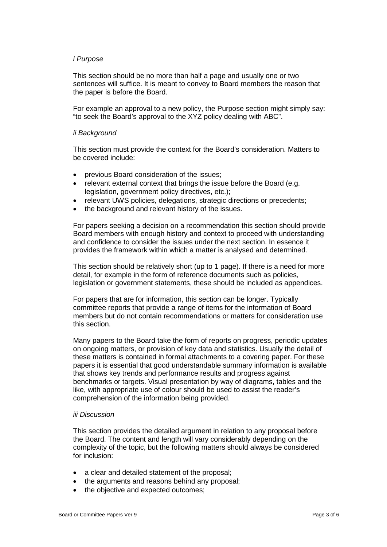#### *i Purpose*

This section should be no more than half a page and usually one or two sentences will suffice. It is meant to convey to Board members the reason that the paper is before the Board.

For example an approval to a new policy, the Purpose section might simply say: "to seek the Board's approval to the XYZ policy dealing with ABC".

#### *ii Background*

This section must provide the context for the Board's consideration. Matters to be covered include:

- previous Board consideration of the issues;
- relevant external context that brings the issue before the Board (e.g. legislation, government policy directives, etc.);
- relevant UWS policies, delegations, strategic directions or precedents;
- the background and relevant history of the issues.

For papers seeking a decision on a recommendation this section should provide Board members with enough history and context to proceed with understanding and confidence to consider the issues under the next section. In essence it provides the framework within which a matter is analysed and determined.

This section should be relatively short (up to 1 page). If there is a need for more detail, for example in the form of reference documents such as policies, legislation or government statements, these should be included as appendices.

For papers that are for information, this section can be longer. Typically committee reports that provide a range of items for the information of Board members but do not contain recommendations or matters for consideration use this section.

Many papers to the Board take the form of reports on progress, periodic updates on ongoing matters, or provision of key data and statistics. Usually the detail of these matters is contained in formal attachments to a covering paper. For these papers it is essential that good understandable summary information is available that shows key trends and performance results and progress against benchmarks or targets. Visual presentation by way of diagrams, tables and the like, with appropriate use of colour should be used to assist the reader's comprehension of the information being provided.

#### *iii Discussion*

This section provides the detailed argument in relation to any proposal before the Board. The content and length will vary considerably depending on the complexity of the topic, but the following matters should always be considered for inclusion:

- a clear and detailed statement of the proposal;
- the arguments and reasons behind any proposal;
- the objective and expected outcomes;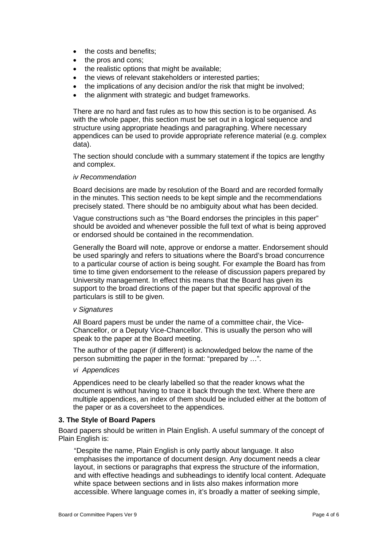- the costs and benefits;
- the pros and cons;
- the realistic options that might be available:
- the views of relevant stakeholders or interested parties;
- the implications of any decision and/or the risk that might be involved;
- the alignment with strategic and budget frameworks.

There are no hard and fast rules as to how this section is to be organised. As with the whole paper, this section must be set out in a logical sequence and structure using appropriate headings and paragraphing. Where necessary appendices can be used to provide appropriate reference material (e.g. complex data).

The section should conclude with a summary statement if the topics are lengthy and complex.

#### *iv Recommendation*

Board decisions are made by resolution of the Board and are recorded formally in the minutes. This section needs to be kept simple and the recommendations precisely stated. There should be no ambiguity about what has been decided.

Vague constructions such as "the Board endorses the principles in this paper" should be avoided and whenever possible the full text of what is being approved or endorsed should be contained in the recommendation.

Generally the Board will note, approve or endorse a matter. Endorsement should be used sparingly and refers to situations where the Board's broad concurrence to a particular course of action is being sought. For example the Board has from time to time given endorsement to the release of discussion papers prepared by University management. In effect this means that the Board has given its support to the broad directions of the paper but that specific approval of the particulars is still to be given.

#### *v Signatures*

All Board papers must be under the name of a committee chair, the Vice-Chancellor, or a Deputy Vice-Chancellor. This is usually the person who will speak to the paper at the Board meeting.

The author of the paper (if different) is acknowledged below the name of the person submitting the paper in the format: "prepared by …".

#### *vi Appendices*

Appendices need to be clearly labelled so that the reader knows what the document is without having to trace it back through the text. Where there are multiple appendices, an index of them should be included either at the bottom of the paper or as a coversheet to the appendices.

#### **3. The Style of Board Papers**

Board papers should be written in Plain English. A useful summary of the concept of Plain English is:

"Despite the name, Plain English is only partly about language. It also emphasises the importance of document design. Any document needs a clear layout, in sections or paragraphs that express the structure of the information, and with effective headings and subheadings to identify local content. Adequate white space between sections and in lists also makes information more accessible. Where language comes in, it's broadly a matter of seeking simple,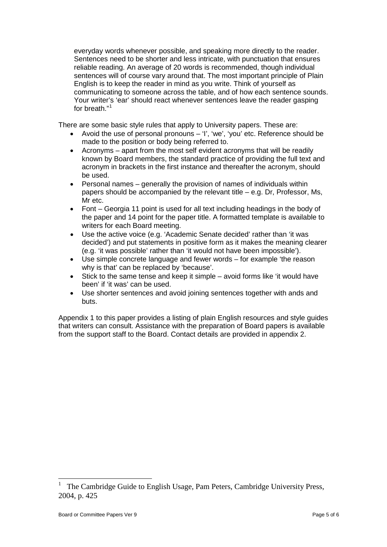everyday words whenever possible, and speaking more directly to the reader. Sentences need to be shorter and less intricate, with punctuation that ensures reliable reading. An average of 20 words is recommended, though individual sentences will of course vary around that. The most important principle of Plain English is to keep the reader in mind as you write. Think of yourself as communicating to someone across the table, and of how each sentence sounds. Your writer's 'ear' should react whenever sentences leave the reader gasping for breath."[1](#page-4-0)

There are some basic style rules that apply to University papers. These are:

- Avoid the use of personal pronouns 'I', 'we', 'you' etc. Reference should be made to the position or body being referred to.
- Acronyms apart from the most self evident acronyms that will be readily known by Board members, the standard practice of providing the full text and acronym in brackets in the first instance and thereafter the acronym, should be used.
- Personal names generally the provision of names of individuals within papers should be accompanied by the relevant title – e.g. Dr, Professor, Ms, Mr etc.
- Font Georgia 11 point is used for all text including headings in the body of the paper and 14 point for the paper title. A formatted template is available to writers for each Board meeting.
- Use the active voice (e.g. 'Academic Senate decided' rather than 'it was decided') and put statements in positive form as it makes the meaning clearer (e.g. 'it was possible' rather than 'it would not have been impossible').
- Use simple concrete language and fewer words for example 'the reason why is that' can be replaced by 'because'.
- Stick to the same tense and keep it simple avoid forms like 'it would have been' if 'it was' can be used.
- Use shorter sentences and avoid joining sentences together with ands and buts.

Appendix 1 to this paper provides a listing of plain English resources and style guides that writers can consult. Assistance with the preparation of Board papers is available from the support staff to the Board. Contact details are provided in appendix 2.

<u>.</u>

<span id="page-4-0"></span><sup>1</sup> The Cambridge Guide to English Usage, Pam Peters, Cambridge University Press, 2004, p. 425